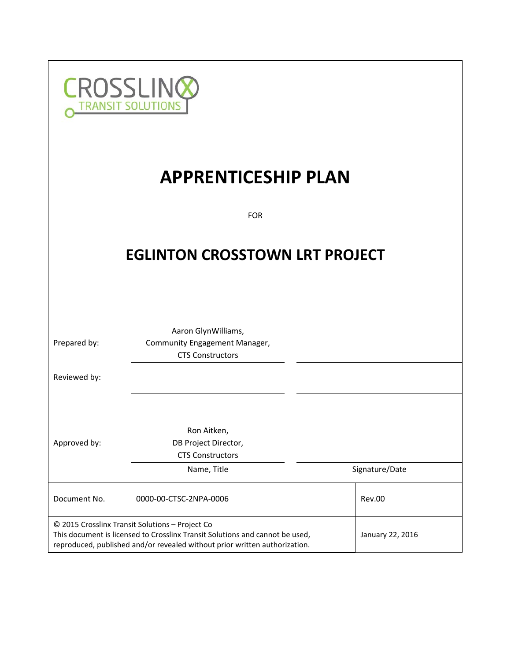

# **APPRENTICESHIP PLAN**

FOR

## **EGLINTON CROSSTOWN LRT PROJECT**

|              | Aaron GlynWilliams,                                                                                                                                                                                           |                  |
|--------------|---------------------------------------------------------------------------------------------------------------------------------------------------------------------------------------------------------------|------------------|
| Prepared by: | Community Engagement Manager,                                                                                                                                                                                 |                  |
|              | <b>CTS Constructors</b>                                                                                                                                                                                       |                  |
| Reviewed by: |                                                                                                                                                                                                               |                  |
|              |                                                                                                                                                                                                               |                  |
|              | Ron Aitken,                                                                                                                                                                                                   |                  |
| Approved by: | DB Project Director,                                                                                                                                                                                          |                  |
|              | <b>CTS Constructors</b>                                                                                                                                                                                       |                  |
|              | Name, Title                                                                                                                                                                                                   | Signature/Date   |
| Document No. | 0000-00-CTSC-2NPA-0006                                                                                                                                                                                        | Rev.00           |
|              | © 2015 Crosslinx Transit Solutions - Project Co<br>This document is licensed to Crosslinx Transit Solutions and cannot be used,<br>reproduced, published and/or revealed without prior written authorization. | January 22, 2016 |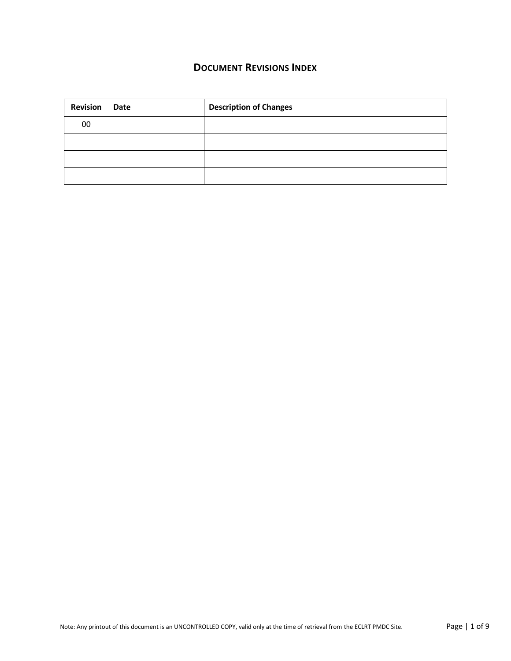## **DOCUMENT REVISIONS INDEX**

| <b>Revision</b> | Date | <b>Description of Changes</b> |
|-----------------|------|-------------------------------|
| 00              |      |                               |
|                 |      |                               |
|                 |      |                               |
|                 |      |                               |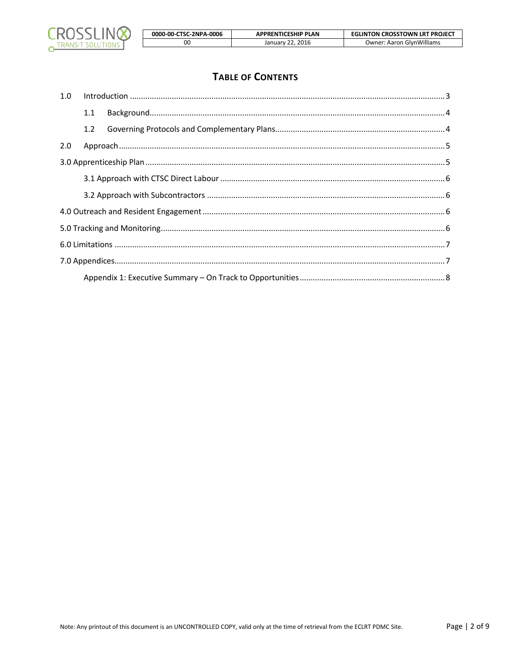

| 0000-00-CTSC-2NPA-0006 | <b>APPRENTICESHIP PLAN</b> | <b>EGLINTON CROSSTOWN LRT PROJECT</b> |
|------------------------|----------------------------|---------------------------------------|
| 00                     | January 22, 2016           | <b>Owner: Aaron GlynWilliams</b>      |

## **TABLE OF CONTENTS**

| 1.0 |     |  |
|-----|-----|--|
|     | 1.1 |  |
|     | 1.2 |  |
| 2.0 |     |  |
|     |     |  |
|     |     |  |
|     |     |  |
|     |     |  |
|     |     |  |
|     |     |  |
|     |     |  |
|     |     |  |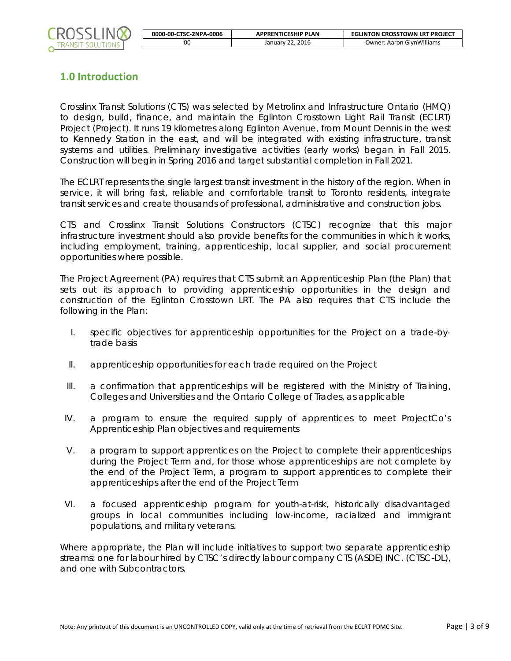

## **1.0 Introduction**

Crosslinx Transit Solutions (CTS) was selected by Metrolinx and Infrastructure Ontario (HMQ) to design, build, finance, and maintain the Eglinton Crosstown Light Rail Transit (ECLRT) Project (Project). It runs 19 kilometres along Eglinton Avenue, from Mount Dennis in the west to Kennedy Station in the east, and will be integrated with existing infrastructure, transit systems and utilities. Preliminary investigative activities (early works) began in Fall 2015. Construction will begin in Spring 2016 and target substantial completion in Fall 2021.

The ECLRT represents the single largest transit investment in the history of the region. When in service, it will bring fast, reliable and comfortable transit to Toronto residents, integrate transit services and create thousands of professional, administrative and construction jobs.

CTS and Crosslinx Transit Solutions Constructors (CTSC) recognize that this major infrastructure investment should also provide benefits for the communities in which it works, including employment, training, apprenticeship, local supplier, and social procurement opportunities where possible.

The Project Agreement (PA) requires that CTS submit an Apprenticeship Plan (the Plan) that sets out its approach to providing apprenticeship opportunities in the design and construction of the Eglinton Crosstown LRT. The PA also requires that CTS include the following in the Plan:

- I. specific objectives for apprenticeship opportunities for the Project on a trade-bytrade basis
- II. apprenticeship opportunities for each trade required on the Project
- III. a confirmation that apprenticeships will be registered with the Ministry of Training, Colleges and Universities and the Ontario College of Trades, as applicable
- IV. a program to ensure the required supply of apprentices to meet ProjectCo's Apprenticeship Plan objectives and requirements
- V. a program to support apprentices on the Project to complete their apprenticeships during the Project Term and, for those whose apprenticeships are not complete by the end of the Project Term, a program to support apprentices to complete their apprenticeships after the end of the Project Term
- VI. a focused apprenticeship program for youth-at-risk, historically disadvantaged groups in local communities including low-income, racialized and immigrant populations, and military veterans.

Where appropriate, the Plan will include initiatives to support two separate apprenticeship streams: one for labour hired by CTSC's directly labour company CTS (ASDE) INC. (CTSC-DL), and one with Subcontractors.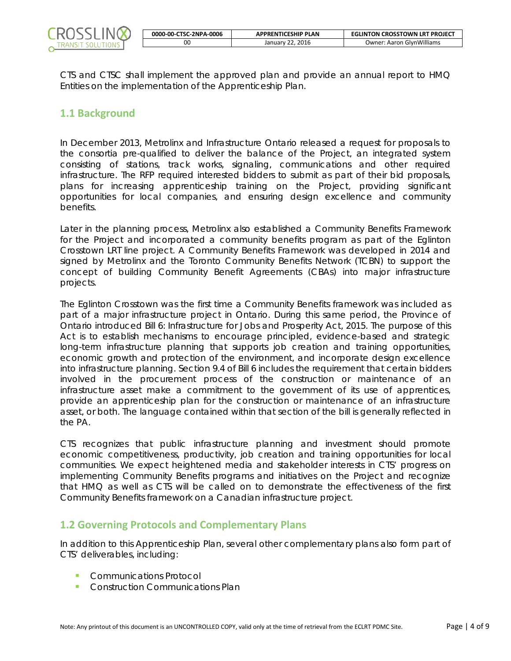

| 0000-00-CTSC-2NPA-0006 | <b>APPRENTICESHIP PLAN</b> | <b>EGLINTON CROSSTOWN LRT PROJECT</b> |
|------------------------|----------------------------|---------------------------------------|
| ΟO                     | January 22, 2016           | <b>Owner: Aaron GlynWilliams</b>      |

CTS and CTSC shall implement the approved plan and provide an annual report to HMQ Entities on the implementation of the Apprenticeship Plan.

#### **1.1 Background**

In December 2013, Metrolinx and Infrastructure Ontario released a request for proposals to the consortia pre-qualified to deliver the balance of the Project, an integrated system consisting of stations, track works, signaling, communications and other required infrastructure. The RFP required interested bidders to submit as part of their bid proposals, plans for increasing apprenticeship training on the Project, providing significant opportunities for local companies, and ensuring design excellence and community benefits.

Later in the planning process, Metrolinx also established a Community Benefits Framework for the Project and incorporated a community benefits program as part of the Eglinton Crosstown LRT line project. A Community Benefits Framework was developed in 2014 and signed by Metrolinx and the Toronto Community Benefits Network (TCBN) to support the concept of building Community Benefit Agreements (CBAs) into major infrastructure projects.

The Eglinton Crosstown was the first time a Community Benefits framework was included as part of a major infrastructure project in Ontario. During this same period, the Province of Ontario introduced Bill 6: Infrastructure for Jobs and Prosperity Act, 2015. The purpose of this Act is to establish mechanisms to encourage principled, evidence-based and strategic long-term infrastructure planning that supports job creation and training opportunities, economic growth and protection of the environment, and incorporate design excellence into infrastructure planning. Section 9.4 of Bill 6 includes the requirement that certain bidders involved in the procurement process of the construction or maintenance of an infrastructure asset make a commitment to the government of its use of apprentices, provide an apprenticeship plan for the construction or maintenance of an infrastructure asset, or both. The language contained within that section of the bill is generally reflected in the PA.

CTS recognizes that public infrastructure planning and investment should promote economic competitiveness, productivity, job creation and training opportunities for local communities. We expect heightened media and stakeholder interests in CTS' progress on implementing Community Benefits programs and initiatives on the Project and recognize that HMQ as well as CTS will be called on to demonstrate the effectiveness of the first Community Benefits framework on a Canadian infrastructure project.

#### **1.2 Governing Protocols and Complementary Plans**

In addition to this Apprenticeship Plan, several other complementary plans also form part of CTS' deliverables, including:

- **Communications Protocol**
- **Construction Communications Plan**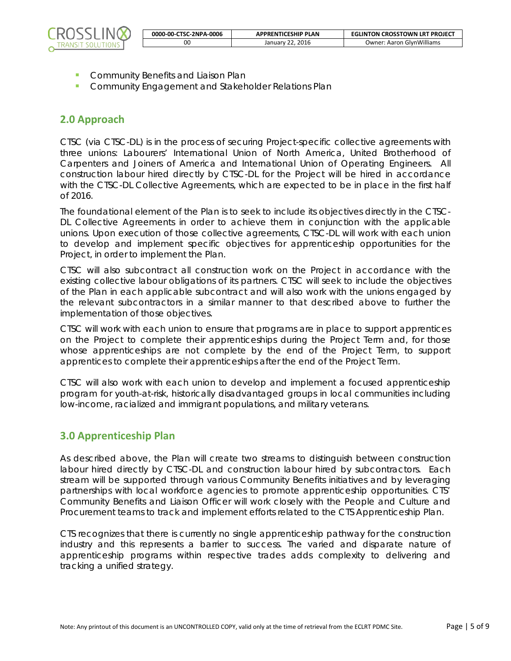

- **Community Benefits and Liaison Plan**
- **Community Engagement and Stakeholder Relations Plan**

### **2.0 Approach**

CTSC (via CTSC-DL) is in the process of securing Project-specific collective agreements with three unions: Labourers' International Union of North America, United Brotherhood of Carpenters and Joiners of America and International Union of Operating Engineers. All construction labour hired directly by CTSC-DL for the Project will be hired in accordance with the CTSC-DL Collective Agreements, which are expected to be in place in the first half of 2016.

The foundational element of the Plan is to seek to include its objectives directly in the CTSC-DL Collective Agreements in order to achieve them in conjunction with the applicable unions. Upon execution of those collective agreements, CTSC-DL will work with each union to develop and implement specific objectives for apprenticeship opportunities for the Project, in order to implement the Plan.

CTSC will also subcontract all construction work on the Project in accordance with the existing collective labour obligations of its partners. CTSC will seek to include the objectives of the Plan in each applicable subcontract and will also work with the unions engaged by the relevant subcontractors in a similar manner to that described above to further the implementation of those objectives.

CTSC will work with each union to ensure that programs are in place to support apprentices on the Project to complete their apprenticeships during the Project Term and, for those whose apprenticeships are not complete by the end of the Project Term, to support apprentices to complete their apprenticeships after the end of the Project Term.

CTSC will also work with each union to develop and implement a focused apprenticeship program for youth-at-risk, historically disadvantaged groups in local communities including low-income, racialized and immigrant populations, and military veterans.

#### **3.0 Apprenticeship Plan**

As described above, the Plan will create two streams to distinguish between construction labour hired directly by CTSC-DL and construction labour hired by subcontractors. Each stream will be supported through various Community Benefits initiatives and by leveraging partnerships with local workforce agencies to promote apprenticeship opportunities. CTS' Community Benefits and Liaison Officer will work closely with the People and Culture and Procurement teams to track and implement efforts related to the CTS Apprenticeship Plan.

CTS recognizes that there is currently no single apprenticeship pathway for the construction industry and this represents a barrier to success. The varied and disparate nature of apprenticeship programs within respective trades adds complexity to delivering and tracking a unified strategy.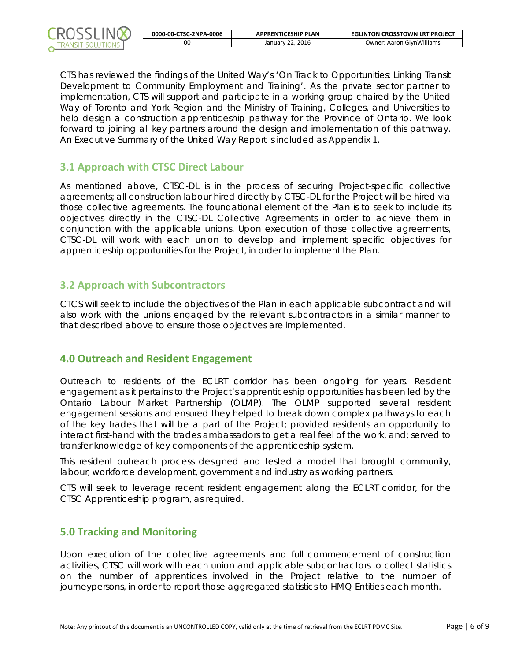

| 0000-00-CTSC-2NPA-0006 | <b>APPRENTICESHIP PLAN</b> | <b>EGLINTON CROSSTOWN LRT PROJECT</b> |
|------------------------|----------------------------|---------------------------------------|
| oc                     | January 22, 2016           | <b>Owner: Aaron GlynWilliams</b>      |

CTS has reviewed the findings of the United Way's 'On Track to Opportunities: Linking Transit Development to Community Employment and Training'. As the private sector partner to implementation, CTS will support and participate in a working group chaired by the United Way of Toronto and York Region and the Ministry of Training, Colleges, and Universities to help design a construction apprenticeship pathway for the Province of Ontario. We look forward to joining all key partners around the design and implementation of this pathway. An Executive Summary of the United Way Report is included as Appendix 1.

#### **3.1 Approach with CTSC Direct Labour**

As mentioned above, CTSC-DL is in the process of securing Project-specific collective agreements; all construction labour hired directly by CTSC-DL for the Project will be hired via those collective agreements. The foundational element of the Plan is to seek to include its objectives directly in the CTSC-DL Collective Agreements in order to achieve them in conjunction with the applicable unions. Upon execution of those collective agreements, CTSC-DL will work with each union to develop and implement specific objectives for apprenticeship opportunities for the Project, in order to implement the Plan.

#### **3.2 Approach with Subcontractors**

CTCS will seek to include the objectives of the Plan in each applicable subcontract and will also work with the unions engaged by the relevant subcontractors in a similar manner to that described above to ensure those objectives are implemented.

#### **4.0 Outreach and Resident Engagement**

Outreach to residents of the ECLRT corridor has been ongoing for years. Resident engagement as it pertains to the Project's apprenticeship opportunities has been led by the Ontario Labour Market Partnership (OLMP). The OLMP supported several resident engagement sessions and ensured they helped to break down complex pathways to each of the key trades that will be a part of the Project; provided residents an opportunity to interact first-hand with the trades ambassadors to get a real feel of the work, and; served to transfer knowledge of key components of the apprenticeship system.

This resident outreach process designed and tested a model that brought community, labour, workforce development, government and industry as working partners.

CTS will seek to leverage recent resident engagement along the ECLRT corridor, for the CTSC Apprenticeship program, as required.

#### **5.0 Tracking and Monitoring**

Upon execution of the collective agreements and full commencement of construction activities, CTSC will work with each union and applicable subcontractors to collect statistics on the number of apprentices involved in the Project relative to the number of journeypersons, in order to report those aggregated statistics to HMQ Entities each month.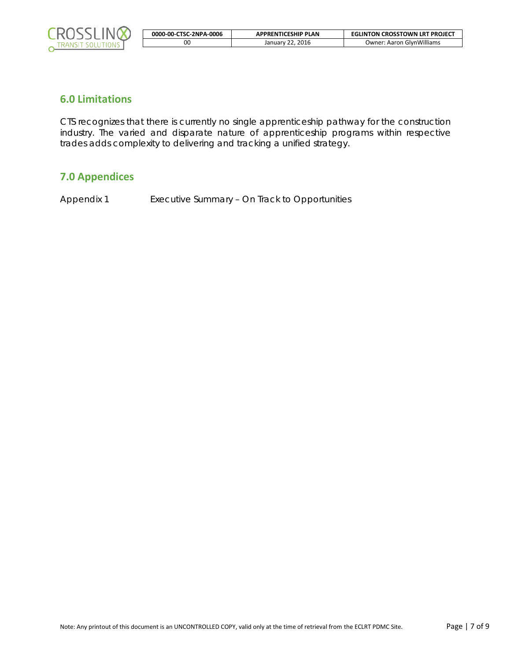

| 0000-00-CTSC-2NPA-0006 | <b>APPRENTICESHIP PLAN</b> | <b>EGLINTON CROSSTOWN LRT PROJECT</b> |
|------------------------|----------------------------|---------------------------------------|
|                        | January 22, 2016           | <b>Owner: Aaron GlynWilliams</b>      |

#### **6.0 Limitations**

CTS recognizes that there is currently no single apprenticeship pathway for the construction industry. The varied and disparate nature of apprenticeship programs within respective trades adds complexity to delivering and tracking a unified strategy.

## **7.0 Appendices**

Appendix 1 Executive Summary – On Track to Opportunities